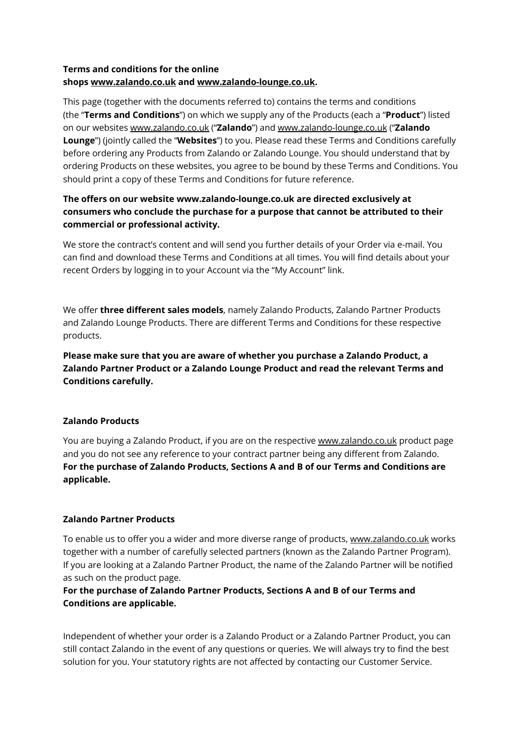# **Terms and conditions for the online shops [www.zalando.co.uk](https://www.zalando.co.uk/) and [www.zalando-lounge.co.uk.](https://www.zalando-lounge.co.uk/)**

This page (together with the documents referred to) contains the terms and conditions (the "**Terms and Conditions**") on which we supply any of the Products (each a "**Product**") listed on our websites [www.zalando.co.uk](https://www.zalando.co.uk/) ("**Zalando**") and [www.zalando-lounge.co.uk](https://www.zalando-lounge.co.uk/) ("**Zalando Lounge**") (jointly called the "**Websites**") to you. Please read these Terms and Conditions carefully before ordering any Products from Zalando or Zalando Lounge. You should understand that by ordering Products on these websites, you agree to be bound by these Terms and Conditions. You should print a copy of these Terms and Conditions for future reference.

# **The offers on our website www.zalando-lounge.co.uk are directed exclusively at consumers who conclude the purchase for a purpose that cannot be attributed to their commercial or professional activity.**

We store the contract's content and will send you further details of your Order via e-mail. You can find and download these Terms and Conditions at all times. You will find details about your recent Orders by logging in to your Account via the "My Account" link.

We offer **three different sales models**, namely Zalando Products, Zalando Partner Products and Zalando Lounge Products. There are different Terms and Conditions for these respective products.

**Please make sure that you are aware of whether you purchase a Zalando Product, a Zalando Partner Product or a Zalando Lounge Product and read the relevant Terms and Conditions carefully.**

# **Zalando Products**

You are buying a Zalando Product, if you are on the respective [www.zalando.co.uk](https://www.zalando.co.uk/) product page and you do not see any reference to your contract partner being any different from Zalando. **For the purchase of Zalando Products, Sections A and B of our Terms and Conditions are applicable.**

# **Zalando Partner Products**

To enable us to offer you a wider and more diverse range of products, [www.zalando.co.uk](https://www.zalando.co.uk/) works together with a number of carefully selected partners (known as the Zalando Partner Program). If you are looking at a Zalando Partner Product, the name of the Zalando Partner will be notified as such on the product page.

# **For the purchase of Zalando Partner Products, Sections A and B of our Terms and Conditions are applicable.**

Independent of whether your order is a Zalando Product or a Zalando Partner Product, you can still contact Zalando in the event of any questions or queries. We will always try to find the best solution for you. Your statutory rights are not affected by contacting our Customer Service.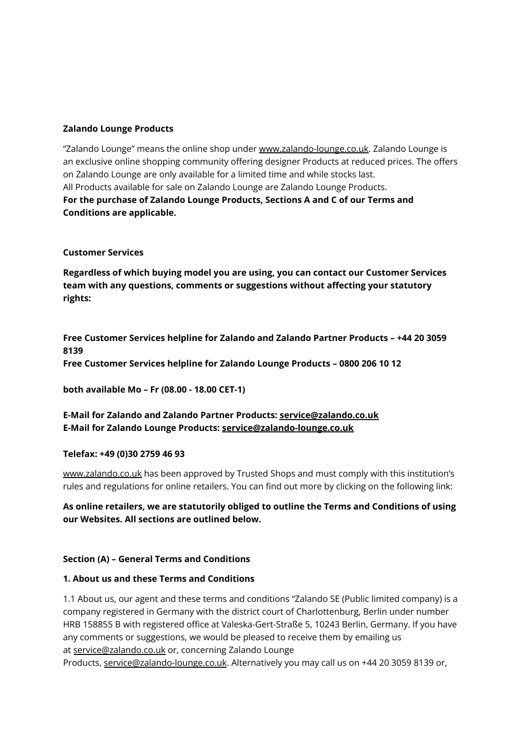### **Zalando Lounge Products**

"Zalando Lounge" means the online shop under [www.zalando-lounge.co.uk.](https://www.zalando-lounge.co.uk/) Zalando Lounge is an exclusive online shopping community offering designer Products at reduced prices. The offers on Zalando Lounge are only available for a limited time and while stocks last. All Products available for sale on Zalando Lounge are Zalando Lounge Products. **For the purchase of Zalando Lounge Products, Sections A and C of our Terms and Conditions are applicable.**

### **Customer Services**

**Regardless of which buying model you are using, you can contact our Customer Services team with any questions, comments or suggestions without affecting your statutory rights:**

**Free Customer Services helpline for Zalando and Zalando Partner Products – +44 20 3059 8139 Free Customer Services helpline for Zalando Lounge Products – 0800 206 10 12**

**both available Mo – Fr (08.00 - 18.00 CET-1)**

**E-Mail for Zalando and Zalando Partner Products: [service@zalando.co.uk](mailto:service@zalando.co.uk) E-Mail for Zalando Lounge Products: [service@zalando-lounge.co.uk](mailto:service@zalando-lounge.co.uk)**

#### **Telefax: +49 (0)30 2759 46 93**

[www.zalando.co.uk](https://www.zalando.co.uk/) has been approved by Trusted Shops and must comply with this institution's rules and regulations for online retailers. You can find out more by clicking on the following link:

**As online retailers, we are statutorily obliged to outline the Terms and Conditions of using our Websites. All sections are outlined below.**

#### **Section (A) – General Terms and Conditions**

#### **1. About us and these Terms and Conditions**

1.1 About us, our agent and these terms and conditions "Zalando SE (Public limited company) is a company registered in Germany with the district court of Charlottenburg, Berlin under number HRB 158855 B with registered office at Valeska-Gert-Straße 5, 10243 Berlin, Germany. If you have any comments or suggestions, we would be pleased to receive them by emailing us at [service@zalando.co.uk](mailto:service@zalando.co.uk) or, concerning Zalando Lounge

Products, [service@zalando-lounge.co.uk](mailto:service@zalando-lounge.co.uk). Alternatively you may call us on +44 20 3059 8139 or,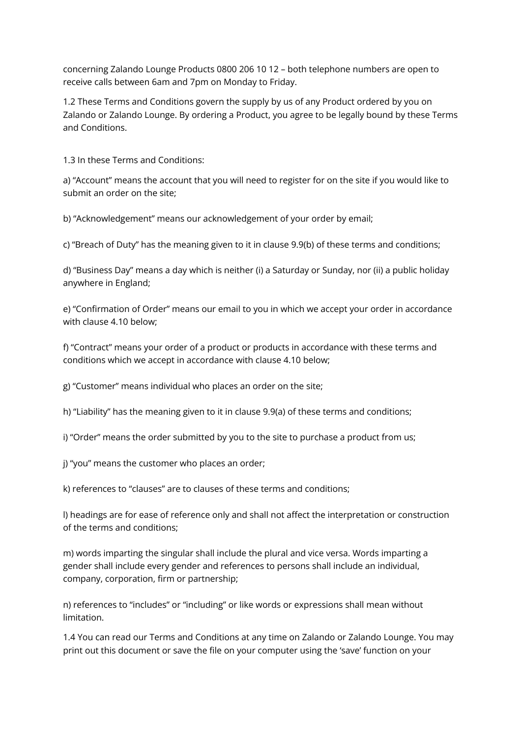concerning Zalando Lounge Products 0800 206 10 12 – both telephone numbers are open to receive calls between 6am and 7pm on Monday to Friday.

1.2 These Terms and Conditions govern the supply by us of any Product ordered by you on Zalando or Zalando Lounge. By ordering a Product, you agree to be legally bound by these Terms and Conditions.

1.3 In these Terms and Conditions:

a) "Account" means the account that you will need to register for on the site if you would like to submit an order on the site;

b) "Acknowledgement" means our acknowledgement of your order by email;

c) "Breach of Duty" has the meaning given to it in clause 9.9(b) of these terms and conditions;

d) "Business Day" means a day which is neither (i) a Saturday or Sunday, nor (ii) a public holiday anywhere in England;

e) "Confirmation of Order" means our email to you in which we accept your order in accordance with clause 4.10 below;

f) "Contract" means your order of a product or products in accordance with these terms and conditions which we accept in accordance with clause 4.10 below;

g) "Customer" means individual who places an order on the site;

h) "Liability" has the meaning given to it in clause 9.9(a) of these terms and conditions;

i) "Order" means the order submitted by you to the site to purchase a product from us;

j) "you" means the customer who places an order;

k) references to "clauses" are to clauses of these terms and conditions;

l) headings are for ease of reference only and shall not affect the interpretation or construction of the terms and conditions;

m) words imparting the singular shall include the plural and vice versa. Words imparting a gender shall include every gender and references to persons shall include an individual, company, corporation, firm or partnership;

n) references to "includes" or "including" or like words or expressions shall mean without limitation.

1.4 You can read our Terms and Conditions at any time on Zalando or Zalando Lounge. You may print out this document or save the file on your computer using the 'save' function on your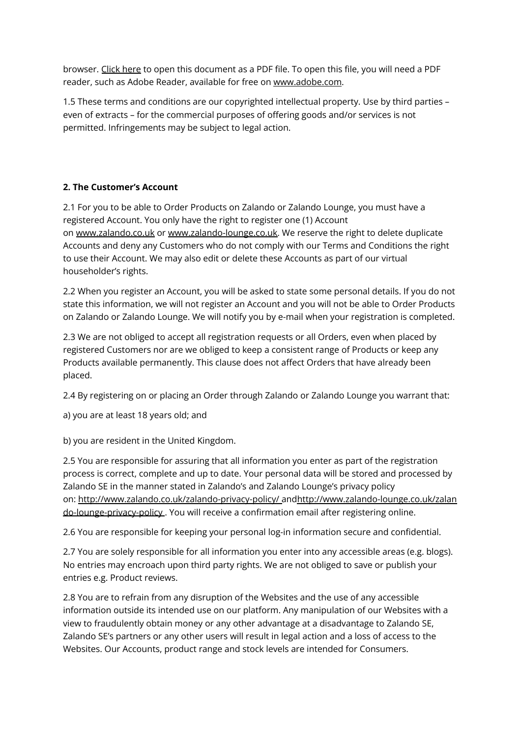browser. Click [here](https://media.ztat.net/media/agb/GB/2013-12-13_v5.pdf) to open this document as a PDF file. To open this file, you will need a PDF reader, such as Adobe Reader, available for free on [www.adobe.com](http://www.adobe.com/).

1.5 These terms and conditions are our copyrighted intellectual property. Use by third parties – even of extracts – for the commercial purposes of offering goods and/or services is not permitted. Infringements may be subject to legal action.

# **2. The Customer's Account**

2.1 For you to be able to Order Products on Zalando or Zalando Lounge, you must have a registered Account. You only have the right to register one (1) Account on [www.zalando.co.uk](https://www.zalando.co.uk/) or [www.zalando-lounge.co.uk.](https://www.zalando-lounge.co.uk/) We reserve the right to delete duplicate Accounts and deny any Customers who do not comply with our Terms and Conditions the right to use their Account. We may also edit or delete these Accounts as part of our virtual householder's rights.

2.2 When you register an Account, you will be asked to state some personal details. If you do not state this information, we will not register an Account and you will not be able to Order Products on Zalando or Zalando Lounge. We will notify you by e-mail when your registration is completed.

2.3 We are not obliged to accept all registration requests or all Orders, even when placed by registered Customers nor are we obliged to keep a consistent range of Products or keep any Products available permanently. This clause does not affect Orders that have already been placed.

2.4 By registering on or placing an Order through Zalando or Zalando Lounge you warrant that:

a) you are at least 18 years old; and

b) you are resident in the United Kingdom.

2.5 You are responsible for assuring that all information you enter as part of the registration process is correct, complete and up to date. Your personal data will be stored and processed by Zalando SE in the manner stated in Zalando's and Zalando Lounge's privacy policy on: [http://www.zalando.co.uk/zalando-privacy-policy/](https://www.zalando.co.uk/zalando-privacy-policy/) an[dhttp://www.zalando-lounge.co.uk/zalan](https://www.zalando-lounge.co.uk/privacy) [do-lounge-privacy-policy](https://www.zalando-lounge.co.uk/privacy) . You will receive a confirmation email after registering online.

2.6 You are responsible for keeping your personal log-in information secure and confidential.

2.7 You are solely responsible for all information you enter into any accessible areas (e.g. blogs). No entries may encroach upon third party rights. We are not obliged to save or publish your entries e.g. Product reviews.

2.8 You are to refrain from any disruption of the Websites and the use of any accessible information outside its intended use on our platform. Any manipulation of our Websites with a view to fraudulently obtain money or any other advantage at a disadvantage to Zalando SE, Zalando SE's partners or any other users will result in legal action and a loss of access to the Websites. Our Accounts, product range and stock levels are intended for Consumers.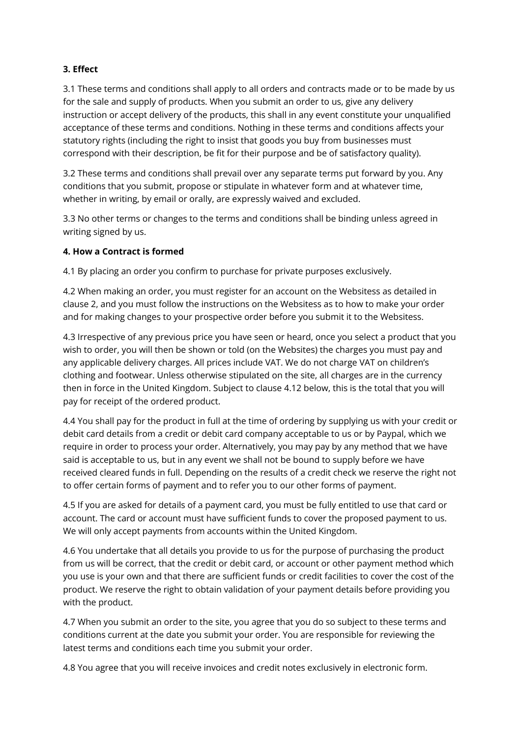### **3. Effect**

3.1 These terms and conditions shall apply to all orders and contracts made or to be made by us for the sale and supply of products. When you submit an order to us, give any delivery instruction or accept delivery of the products, this shall in any event constitute your unqualified acceptance of these terms and conditions. Nothing in these terms and conditions affects your statutory rights (including the right to insist that goods you buy from businesses must correspond with their description, be fit for their purpose and be of satisfactory quality).

3.2 These terms and conditions shall prevail over any separate terms put forward by you. Any conditions that you submit, propose or stipulate in whatever form and at whatever time, whether in writing, by email or orally, are expressly waived and excluded.

3.3 No other terms or changes to the terms and conditions shall be binding unless agreed in writing signed by us.

### **4. How a Contract is formed**

4.1 By placing an order you confirm to purchase for private purposes exclusively.

4.2 When making an order, you must register for an account on the Websitess as detailed in clause 2, and you must follow the instructions on the Websitess as to how to make your order and for making changes to your prospective order before you submit it to the Websitess.

4.3 Irrespective of any previous price you have seen or heard, once you select a product that you wish to order, you will then be shown or told (on the Websites) the charges you must pay and any applicable delivery charges. All prices include VAT. We do not charge VAT on children's clothing and footwear. Unless otherwise stipulated on the site, all charges are in the currency then in force in the United Kingdom. Subject to clause 4.12 below, this is the total that you will pay for receipt of the ordered product.

4.4 You shall pay for the product in full at the time of ordering by supplying us with your credit or debit card details from a credit or debit card company acceptable to us or by Paypal, which we require in order to process your order. Alternatively, you may pay by any method that we have said is acceptable to us, but in any event we shall not be bound to supply before we have received cleared funds in full. Depending on the results of a credit check we reserve the right not to offer certain forms of payment and to refer you to our other forms of payment.

4.5 If you are asked for details of a payment card, you must be fully entitled to use that card or account. The card or account must have sufficient funds to cover the proposed payment to us. We will only accept payments from accounts within the United Kingdom.

4.6 You undertake that all details you provide to us for the purpose of purchasing the product from us will be correct, that the credit or debit card, or account or other payment method which you use is your own and that there are sufficient funds or credit facilities to cover the cost of the product. We reserve the right to obtain validation of your payment details before providing you with the product.

4.7 When you submit an order to the site, you agree that you do so subject to these terms and conditions current at the date you submit your order. You are responsible for reviewing the latest terms and conditions each time you submit your order.

4.8 You agree that you will receive invoices and credit notes exclusively in electronic form.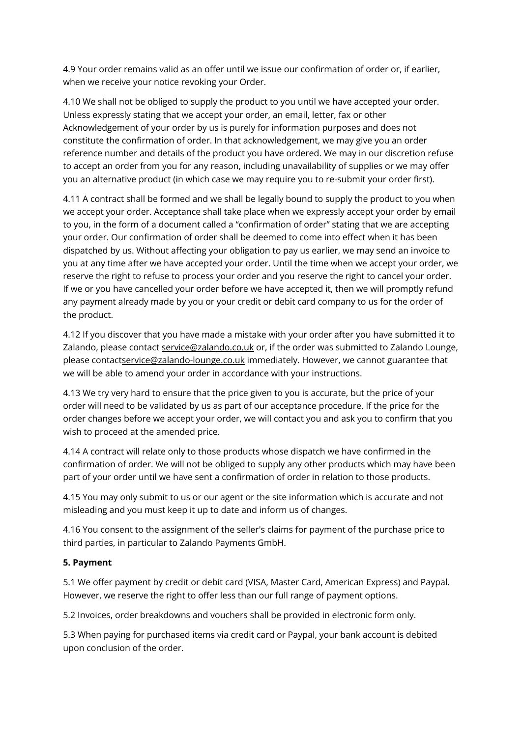4.9 Your order remains valid as an offer until we issue our confirmation of order or, if earlier, when we receive your notice revoking your Order.

4.10 We shall not be obliged to supply the product to you until we have accepted your order. Unless expressly stating that we accept your order, an email, letter, fax or other Acknowledgement of your order by us is purely for information purposes and does not constitute the confirmation of order. In that acknowledgement, we may give you an order reference number and details of the product you have ordered. We may in our discretion refuse to accept an order from you for any reason, including unavailability of supplies or we may offer you an alternative product (in which case we may require you to re-submit your order first).

4.11 A contract shall be formed and we shall be legally bound to supply the product to you when we accept your order. Acceptance shall take place when we expressly accept your order by email to you, in the form of a document called a "confirmation of order" stating that we are accepting your order. Our confirmation of order shall be deemed to come into effect when it has been dispatched by us. Without affecting your obligation to pay us earlier, we may send an invoice to you at any time after we have accepted your order. Until the time when we accept your order, we reserve the right to refuse to process your order and you reserve the right to cancel your order. If we or you have cancelled your order before we have accepted it, then we will promptly refund any payment already made by you or your credit or debit card company to us for the order of the product.

4.12 If you discover that you have made a mistake with your order after you have submitted it to Zalando, please contact [service@zalando.co.uk](mailto:service@zalando.co.uk) or, if the order was submitted to Zalando Lounge, please contac[tservice@zalando-lounge.co.uk](mailto:service@zalando-lounge.co.uk) immediately. However, we cannot guarantee that we will be able to amend your order in accordance with your instructions.

4.13 We try very hard to ensure that the price given to you is accurate, but the price of your order will need to be validated by us as part of our acceptance procedure. If the price for the order changes before we accept your order, we will contact you and ask you to confirm that you wish to proceed at the amended price.

4.14 A contract will relate only to those products whose dispatch we have confirmed in the confirmation of order. We will not be obliged to supply any other products which may have been part of your order until we have sent a confirmation of order in relation to those products.

4.15 You may only submit to us or our agent or the site information which is accurate and not misleading and you must keep it up to date and inform us of changes.

4.16 You consent to the assignment of the seller's claims for payment of the purchase price to third parties, in particular to Zalando Payments GmbH.

# **5. Payment**

5.1 We offer payment by credit or debit card (VISA, Master Card, American Express) and Paypal. However, we reserve the right to offer less than our full range of payment options.

5.2 Invoices, order breakdowns and vouchers shall be provided in electronic form only.

5.3 When paying for purchased items via credit card or Paypal, your bank account is debited upon conclusion of the order.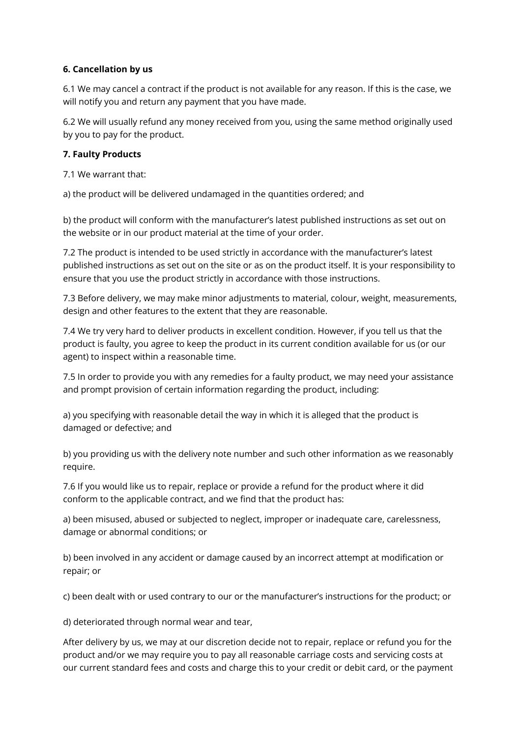### **6. Cancellation by us**

6.1 We may cancel a contract if the product is not available for any reason. If this is the case, we will notify you and return any payment that you have made.

6.2 We will usually refund any money received from you, using the same method originally used by you to pay for the product.

### **7. Faulty Products**

7.1 We warrant that:

a) the product will be delivered undamaged in the quantities ordered; and

b) the product will conform with the manufacturer's latest published instructions as set out on the website or in our product material at the time of your order.

7.2 The product is intended to be used strictly in accordance with the manufacturer's latest published instructions as set out on the site or as on the product itself. It is your responsibility to ensure that you use the product strictly in accordance with those instructions.

7.3 Before delivery, we may make minor adjustments to material, colour, weight, measurements, design and other features to the extent that they are reasonable.

7.4 We try very hard to deliver products in excellent condition. However, if you tell us that the product is faulty, you agree to keep the product in its current condition available for us (or our agent) to inspect within a reasonable time.

7.5 In order to provide you with any remedies for a faulty product, we may need your assistance and prompt provision of certain information regarding the product, including:

a) you specifying with reasonable detail the way in which it is alleged that the product is damaged or defective; and

b) you providing us with the delivery note number and such other information as we reasonably require.

7.6 If you would like us to repair, replace or provide a refund for the product where it did conform to the applicable contract, and we find that the product has:

a) been misused, abused or subjected to neglect, improper or inadequate care, carelessness, damage or abnormal conditions; or

b) been involved in any accident or damage caused by an incorrect attempt at modification or repair; or

c) been dealt with or used contrary to our or the manufacturer's instructions for the product; or

d) deteriorated through normal wear and tear,

After delivery by us, we may at our discretion decide not to repair, replace or refund you for the product and/or we may require you to pay all reasonable carriage costs and servicing costs at our current standard fees and costs and charge this to your credit or debit card, or the payment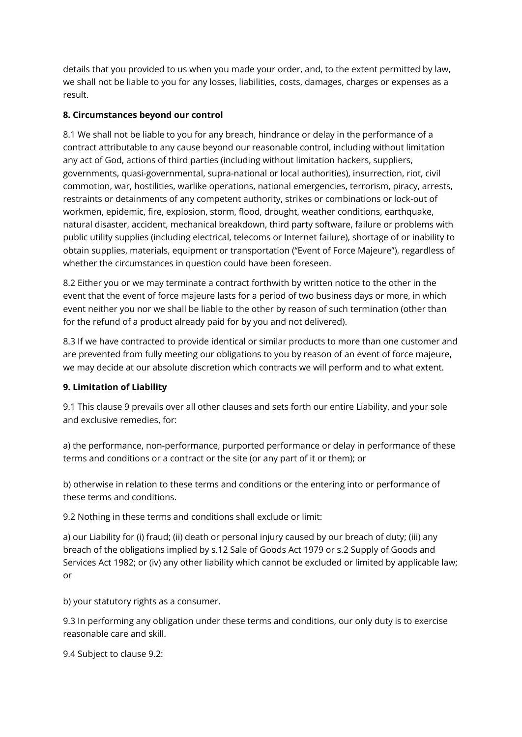details that you provided to us when you made your order, and, to the extent permitted by law, we shall not be liable to you for any losses, liabilities, costs, damages, charges or expenses as a result.

# **8. Circumstances beyond our control**

8.1 We shall not be liable to you for any breach, hindrance or delay in the performance of a contract attributable to any cause beyond our reasonable control, including without limitation any act of God, actions of third parties (including without limitation hackers, suppliers, governments, quasi-governmental, supra-national or local authorities), insurrection, riot, civil commotion, war, hostilities, warlike operations, national emergencies, terrorism, piracy, arrests, restraints or detainments of any competent authority, strikes or combinations or lock-out of workmen, epidemic, fire, explosion, storm, flood, drought, weather conditions, earthquake, natural disaster, accident, mechanical breakdown, third party software, failure or problems with public utility supplies (including electrical, telecoms or Internet failure), shortage of or inability to obtain supplies, materials, equipment or transportation ("Event of Force Majeure"), regardless of whether the circumstances in question could have been foreseen.

8.2 Either you or we may terminate a contract forthwith by written notice to the other in the event that the event of force majeure lasts for a period of two business days or more, in which event neither you nor we shall be liable to the other by reason of such termination (other than for the refund of a product already paid for by you and not delivered).

8.3 If we have contracted to provide identical or similar products to more than one customer and are prevented from fully meeting our obligations to you by reason of an event of force majeure, we may decide at our absolute discretion which contracts we will perform and to what extent.

# **9. Limitation of Liability**

9.1 This clause 9 prevails over all other clauses and sets forth our entire Liability, and your sole and exclusive remedies, for:

a) the performance, non-performance, purported performance or delay in performance of these terms and conditions or a contract or the site (or any part of it or them); or

b) otherwise in relation to these terms and conditions or the entering into or performance of these terms and conditions.

9.2 Nothing in these terms and conditions shall exclude or limit:

a) our Liability for (i) fraud; (ii) death or personal injury caused by our breach of duty; (iii) any breach of the obligations implied by s.12 Sale of Goods Act 1979 or s.2 Supply of Goods and Services Act 1982; or (iv) any other liability which cannot be excluded or limited by applicable law; or

b) your statutory rights as a consumer.

9.3 In performing any obligation under these terms and conditions, our only duty is to exercise reasonable care and skill.

9.4 Subject to clause 9.2: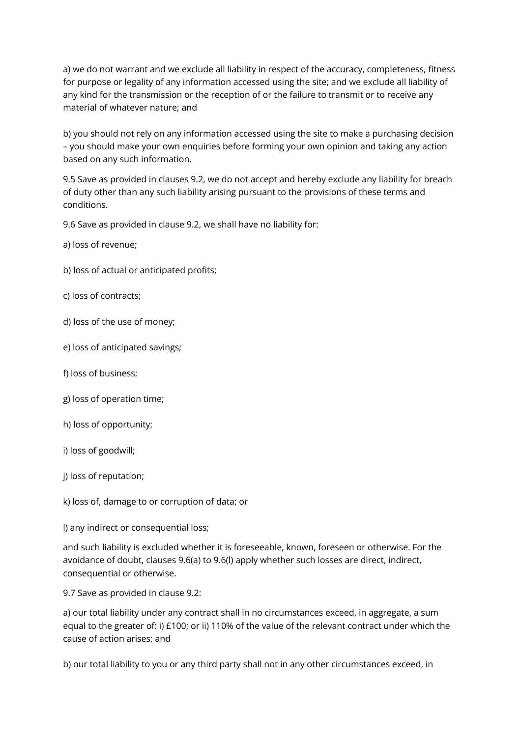a) we do not warrant and we exclude all liability in respect of the accuracy, completeness, fitness for purpose or legality of any information accessed using the site; and we exclude all liability of any kind for the transmission or the reception of or the failure to transmit or to receive any material of whatever nature; and

b) you should not rely on any information accessed using the site to make a purchasing decision – you should make your own enquiries before forming your own opinion and taking any action based on any such information.

9.5 Save as provided in clauses 9.2, we do not accept and hereby exclude any liability for breach of duty other than any such liability arising pursuant to the provisions of these terms and conditions.

9.6 Save as provided in clause 9.2, we shall have no liability for:

- a) loss of revenue;
- b) loss of actual or anticipated profits;
- c) loss of contracts;
- d) loss of the use of money;
- e) loss of anticipated savings;
- f) loss of business;
- g) loss of operation time;
- h) loss of opportunity;
- i) loss of goodwill;
- j) loss of reputation;
- k) loss of, damage to or corruption of data; or

l) any indirect or consequential loss;

and such liability is excluded whether it is foreseeable, known, foreseen or otherwise. For the avoidance of doubt, clauses 9.6(a) to 9.6(l) apply whether such losses are direct, indirect, consequential or otherwise.

9.7 Save as provided in clause 9.2:

a) our total liability under any contract shall in no circumstances exceed, in aggregate, a sum equal to the greater of: i) £100; or ii) 110% of the value of the relevant contract under which the cause of action arises; and

b) our total liability to you or any third party shall not in any other circumstances exceed, in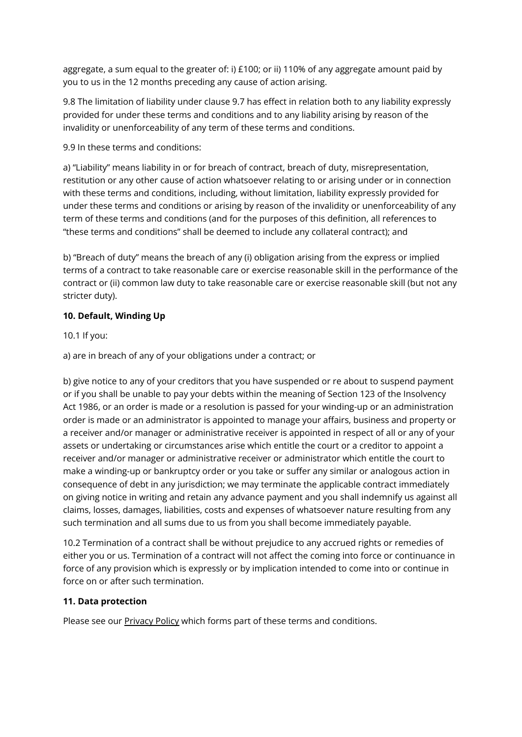aggregate, a sum equal to the greater of: i)  $£100$ ; or ii) 110% of any aggregate amount paid by you to us in the 12 months preceding any cause of action arising.

9.8 The limitation of liability under clause 9.7 has effect in relation both to any liability expressly provided for under these terms and conditions and to any liability arising by reason of the invalidity or unenforceability of any term of these terms and conditions.

9.9 In these terms and conditions:

a) "Liability" means liability in or for breach of contract, breach of duty, misrepresentation, restitution or any other cause of action whatsoever relating to or arising under or in connection with these terms and conditions, including, without limitation, liability expressly provided for under these terms and conditions or arising by reason of the invalidity or unenforceability of any term of these terms and conditions (and for the purposes of this definition, all references to "these terms and conditions" shall be deemed to include any collateral contract); and

b) "Breach of duty" means the breach of any (i) obligation arising from the express or implied terms of a contract to take reasonable care or exercise reasonable skill in the performance of the contract or (ii) common law duty to take reasonable care or exercise reasonable skill (but not any stricter duty).

# **10. Default, Winding Up**

## 10.1 If you:

a) are in breach of any of your obligations under a contract; or

b) give notice to any of your creditors that you have suspended or re about to suspend payment or if you shall be unable to pay your debts within the meaning of Section 123 of the Insolvency Act 1986, or an order is made or a resolution is passed for your winding-up or an administration order is made or an administrator is appointed to manage your affairs, business and property or a receiver and/or manager or administrative receiver is appointed in respect of all or any of your assets or undertaking or circumstances arise which entitle the court or a creditor to appoint a receiver and/or manager or administrative receiver or administrator which entitle the court to make a winding-up or bankruptcy order or you take or suffer any similar or analogous action in consequence of debt in any jurisdiction; we may terminate the applicable contract immediately on giving notice in writing and retain any advance payment and you shall indemnify us against all claims, losses, damages, liabilities, costs and expenses of whatsoever nature resulting from any such termination and all sums due to us from you shall become immediately payable.

10.2 Termination of a contract shall be without prejudice to any accrued rights or remedies of either you or us. Termination of a contract will not affect the coming into force or continuance in force of any provision which is expressly or by implication intended to come into or continue in force on or after such termination.

### **11. Data protection**

Please see our [Privacy](http://www.zalando.co.uk/zalando-privacy-policy/) Policy which forms part of these terms and conditions.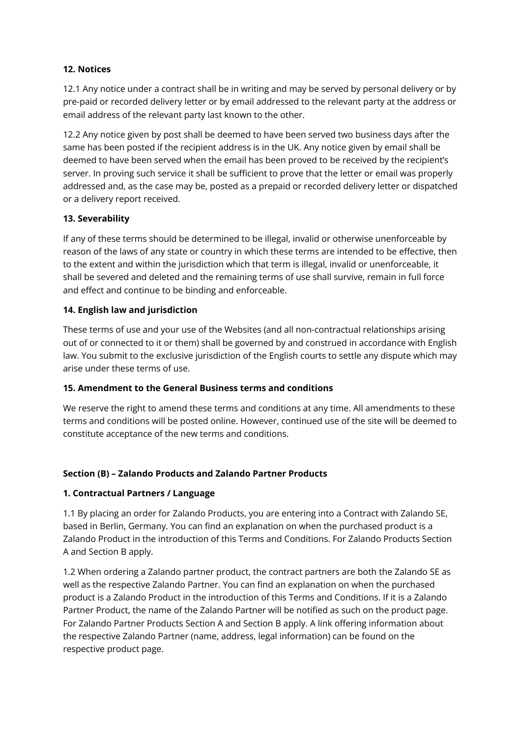## **12. Notices**

12.1 Any notice under a contract shall be in writing and may be served by personal delivery or by pre-paid or recorded delivery letter or by email addressed to the relevant party at the address or email address of the relevant party last known to the other.

12.2 Any notice given by post shall be deemed to have been served two business days after the same has been posted if the recipient address is in the UK. Any notice given by email shall be deemed to have been served when the email has been proved to be received by the recipient's server. In proving such service it shall be sufficient to prove that the letter or email was properly addressed and, as the case may be, posted as a prepaid or recorded delivery letter or dispatched or a delivery report received.

## **13. Severability**

If any of these terms should be determined to be illegal, invalid or otherwise unenforceable by reason of the laws of any state or country in which these terms are intended to be effective, then to the extent and within the jurisdiction which that term is illegal, invalid or unenforceable, it shall be severed and deleted and the remaining terms of use shall survive, remain in full force and effect and continue to be binding and enforceable.

## **14. English law and jurisdiction**

These terms of use and your use of the Websites (and all non-contractual relationships arising out of or connected to it or them) shall be governed by and construed in accordance with English law. You submit to the exclusive jurisdiction of the English courts to settle any dispute which may arise under these terms of use.

### **15. Amendment to the General Business terms and conditions**

We reserve the right to amend these terms and conditions at any time. All amendments to these terms and conditions will be posted online. However, continued use of the site will be deemed to constitute acceptance of the new terms and conditions.

# **Section (B) – Zalando Products and Zalando Partner Products**

### **1. Contractual Partners / Language**

1.1 By placing an order for Zalando Products, you are entering into a Contract with Zalando SE, based in Berlin, Germany. You can find an explanation on when the purchased product is a Zalando Product in the introduction of this Terms and Conditions. For Zalando Products Section A and Section B apply.

1.2 When ordering a Zalando partner product, the contract partners are both the Zalando SE as well as the respective Zalando Partner. You can find an explanation on when the purchased product is a Zalando Product in the introduction of this Terms and Conditions. If it is a Zalando Partner Product, the name of the Zalando Partner will be notified as such on the product page. For Zalando Partner Products Section A and Section B apply. A link offering information about the respective Zalando Partner (name, address, legal information) can be found on the respective product page.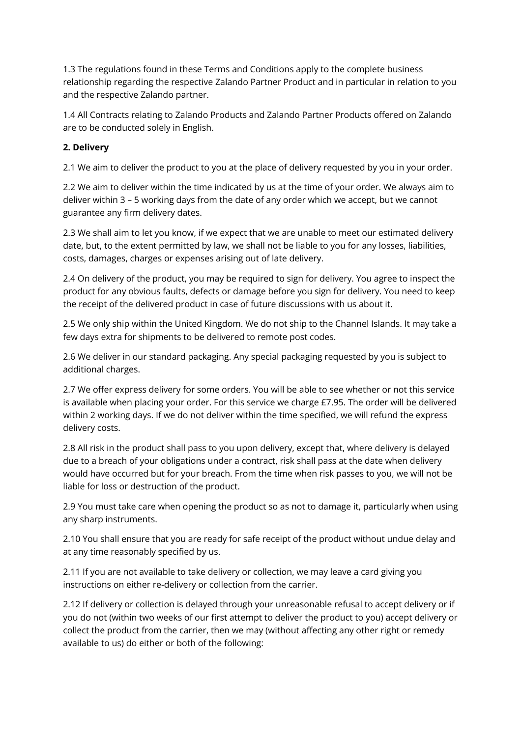1.3 The regulations found in these Terms and Conditions apply to the complete business relationship regarding the respective Zalando Partner Product and in particular in relation to you and the respective Zalando partner.

1.4 All Contracts relating to Zalando Products and Zalando Partner Products offered on Zalando are to be conducted solely in English.

## **2. Delivery**

2.1 We aim to deliver the product to you at the place of delivery requested by you in your order.

2.2 We aim to deliver within the time indicated by us at the time of your order. We always aim to deliver within 3 – 5 working days from the date of any order which we accept, but we cannot guarantee any firm delivery dates.

2.3 We shall aim to let you know, if we expect that we are unable to meet our estimated delivery date, but, to the extent permitted by law, we shall not be liable to you for any losses, liabilities, costs, damages, charges or expenses arising out of late delivery.

2.4 On delivery of the product, you may be required to sign for delivery. You agree to inspect the product for any obvious faults, defects or damage before you sign for delivery. You need to keep the receipt of the delivered product in case of future discussions with us about it.

2.5 We only ship within the United Kingdom. We do not ship to the Channel Islands. It may take a few days extra for shipments to be delivered to remote post codes.

2.6 We deliver in our standard packaging. Any special packaging requested by you is subject to additional charges.

2.7 We offer express delivery for some orders. You will be able to see whether or not this service is available when placing your order. For this service we charge £7.95. The order will be delivered within 2 working days. If we do not deliver within the time specified, we will refund the express delivery costs.

2.8 All risk in the product shall pass to you upon delivery, except that, where delivery is delayed due to a breach of your obligations under a contract, risk shall pass at the date when delivery would have occurred but for your breach. From the time when risk passes to you, we will not be liable for loss or destruction of the product.

2.9 You must take care when opening the product so as not to damage it, particularly when using any sharp instruments.

2.10 You shall ensure that you are ready for safe receipt of the product without undue delay and at any time reasonably specified by us.

2.11 If you are not available to take delivery or collection, we may leave a card giving you instructions on either re-delivery or collection from the carrier.

2.12 If delivery or collection is delayed through your unreasonable refusal to accept delivery or if you do not (within two weeks of our first attempt to deliver the product to you) accept delivery or collect the product from the carrier, then we may (without affecting any other right or remedy available to us) do either or both of the following: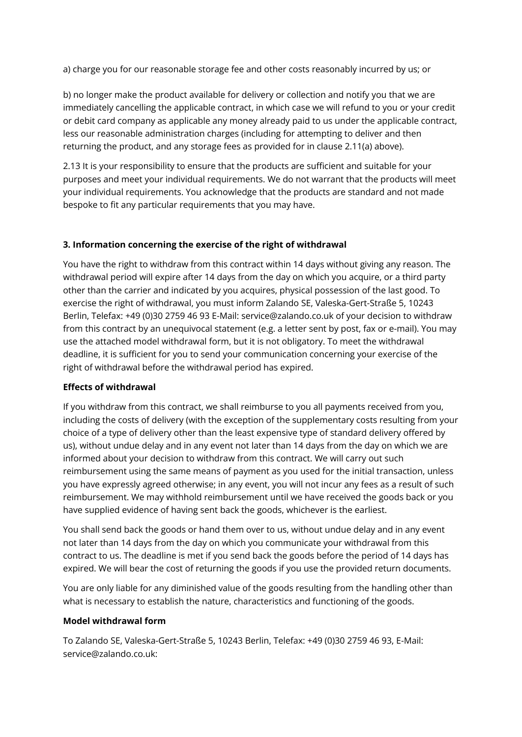a) charge you for our reasonable storage fee and other costs reasonably incurred by us; or

b) no longer make the product available for delivery or collection and notify you that we are immediately cancelling the applicable contract, in which case we will refund to you or your credit or debit card company as applicable any money already paid to us under the applicable contract, less our reasonable administration charges (including for attempting to deliver and then returning the product, and any storage fees as provided for in clause 2.11(a) above).

2.13 It is your responsibility to ensure that the products are sufficient and suitable for your purposes and meet your individual requirements. We do not warrant that the products will meet your individual requirements. You acknowledge that the products are standard and not made bespoke to fit any particular requirements that you may have.

### **3. Information concerning the exercise of the right of withdrawal**

You have the right to withdraw from this contract within 14 days without giving any reason. The withdrawal period will expire after 14 days from the day on which you acquire, or a third party other than the carrier and indicated by you acquires, physical possession of the last good. To exercise the right of withdrawal, you must inform Zalando SE, Valeska-Gert-Straße 5, 10243 Berlin, Telefax: +49 (0)30 2759 46 93 E-Mail: service@zalando.co.uk of your decision to withdraw from this contract by an unequivocal statement (e.g. a letter sent by post, fax or e-mail). You may use the attached model withdrawal form, but it is not obligatory. To meet the withdrawal deadline, it is sufficient for you to send your communication concerning your exercise of the right of withdrawal before the withdrawal period has expired.

#### **Effects of withdrawal**

If you withdraw from this contract, we shall reimburse to you all payments received from you, including the costs of delivery (with the exception of the supplementary costs resulting from your choice of a type of delivery other than the least expensive type of standard delivery offered by us), without undue delay and in any event not later than 14 days from the day on which we are informed about your decision to withdraw from this contract. We will carry out such reimbursement using the same means of payment as you used for the initial transaction, unless you have expressly agreed otherwise; in any event, you will not incur any fees as a result of such reimbursement. We may withhold reimbursement until we have received the goods back or you have supplied evidence of having sent back the goods, whichever is the earliest.

You shall send back the goods or hand them over to us, without undue delay and in any event not later than 14 days from the day on which you communicate your withdrawal from this contract to us. The deadline is met if you send back the goods before the period of 14 days has expired. We will bear the cost of returning the goods if you use the provided return documents.

You are only liable for any diminished value of the goods resulting from the handling other than what is necessary to establish the nature, characteristics and functioning of the goods.

#### **Model withdrawal form**

To Zalando SE, Valeska-Gert-Straße 5, 10243 Berlin, Telefax: +49 (0)30 2759 46 93, E-Mail: service@zalando.co.uk: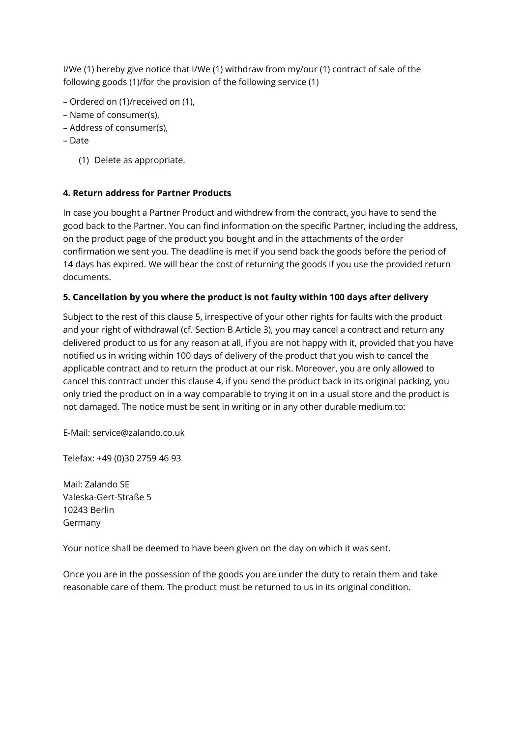I/We (1) hereby give notice that I/We (1) withdraw from my/our (1) contract of sale of the following goods (1)/for the provision of the following service (1)

- Ordered on (1)/received on (1),
- Name of consumer(s),
- Address of consumer(s),
- Date
	- (1) Delete as appropriate.

## **4. Return address for Partner Products**

In case you bought a Partner Product and withdrew from the contract, you have to send the good back to the Partner. You can find information on the specific Partner, including the address, on the product page of the product you bought and in the attachments of the order confirmation we sent you. The deadline is met if you send back the goods before the period of 14 days has expired. We will bear the cost of returning the goods if you use the provided return documents.

## **5. Cancellation by you where the product is not faulty within 100 days after delivery**

Subject to the rest of this clause 5, irrespective of your other rights for faults with the product and your right of withdrawal (cf. Section B Article 3), you may cancel a contract and return any delivered product to us for any reason at all, if you are not happy with it, provided that you have notified us in writing within 100 days of delivery of the product that you wish to cancel the applicable contract and to return the product at our risk. Moreover, you are only allowed to cancel this contract under this clause 4, if you send the product back in its original packing, you only tried the product on in a way comparable to trying it on in a usual store and the product is not damaged. The notice must be sent in writing or in any other durable medium to:

E-Mail: service@zalando.co.uk

Telefax: +49 (0)30 2759 46 93

Mail: Zalando SE Valeska-Gert-Straße 5 10243 Berlin Germany

Your notice shall be deemed to have been given on the day on which it was sent.

Once you are in the possession of the goods you are under the duty to retain them and take reasonable care of them. The product must be returned to us in its original condition.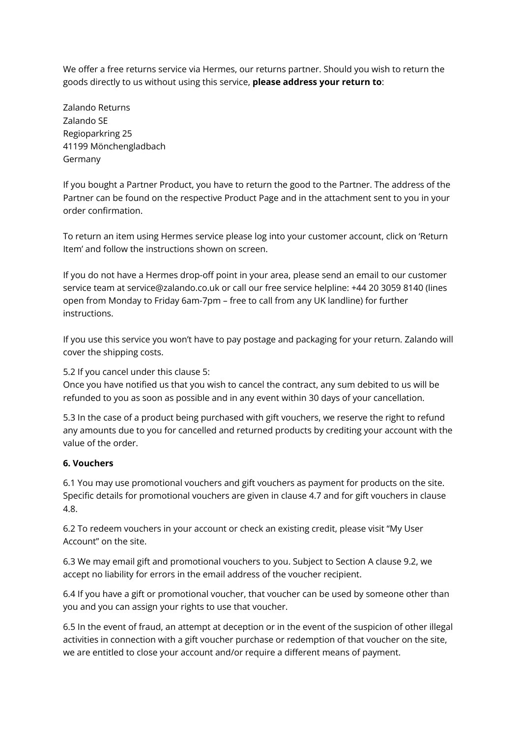We offer a free returns service via Hermes, our returns partner. Should you wish to return the goods directly to us without using this service, **please address your return to**:

Zalando Returns Zalando SE Regioparkring 25 41199 Mönchengladbach Germany

If you bought a Partner Product, you have to return the good to the Partner. The address of the Partner can be found on the respective Product Page and in the attachment sent to you in your order confirmation.

To return an item using Hermes service please log into your customer account, click on 'Return Item' and follow the instructions shown on screen.

If you do not have a Hermes drop-off point in your area, please send an email to our customer service team at service@zalando.co.uk or call our free service helpline: +44 20 3059 8140 (lines open from Monday to Friday 6am-7pm – free to call from any UK landline) for further instructions.

If you use this service you won't have to pay postage and packaging for your return. Zalando will cover the shipping costs.

5.2 If you cancel under this clause 5:

Once you have notified us that you wish to cancel the contract, any sum debited to us will be refunded to you as soon as possible and in any event within 30 days of your cancellation.

5.3 In the case of a product being purchased with gift vouchers, we reserve the right to refund any amounts due to you for cancelled and returned products by crediting your account with the value of the order.

### **6. Vouchers**

6.1 You may use promotional vouchers and gift vouchers as payment for products on the site. Specific details for promotional vouchers are given in clause 4.7 and for gift vouchers in clause 4.8.

6.2 To redeem vouchers in your account or check an existing credit, please visit "My User Account" on the site.

6.3 We may email gift and promotional vouchers to you. Subject to Section A clause 9.2, we accept no liability for errors in the email address of the voucher recipient.

6.4 If you have a gift or promotional voucher, that voucher can be used by someone other than you and you can assign your rights to use that voucher.

6.5 In the event of fraud, an attempt at deception or in the event of the suspicion of other illegal activities in connection with a gift voucher purchase or redemption of that voucher on the site, we are entitled to close your account and/or require a different means of payment.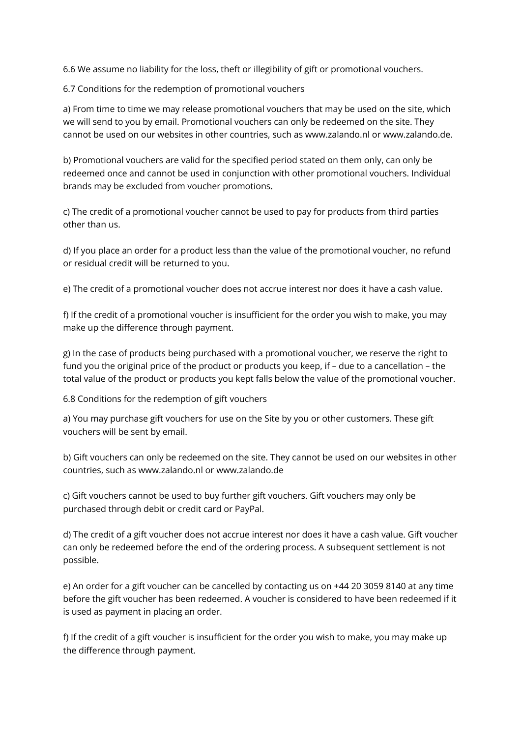6.6 We assume no liability for the loss, theft or illegibility of gift or promotional vouchers.

6.7 Conditions for the redemption of promotional vouchers

a) From time to time we may release promotional vouchers that may be used on the site, which we will send to you by email. Promotional vouchers can only be redeemed on the site. They cannot be used on our websites in other countries, such as www.zalando.nl or www.zalando.de.

b) Promotional vouchers are valid for the specified period stated on them only, can only be redeemed once and cannot be used in conjunction with other promotional vouchers. Individual brands may be excluded from voucher promotions.

c) The credit of a promotional voucher cannot be used to pay for products from third parties other than us.

d) If you place an order for a product less than the value of the promotional voucher, no refund or residual credit will be returned to you.

e) The credit of a promotional voucher does not accrue interest nor does it have a cash value.

f) If the credit of a promotional voucher is insufficient for the order you wish to make, you may make up the difference through payment.

g) In the case of products being purchased with a promotional voucher, we reserve the right to fund you the original price of the product or products you keep, if – due to a cancellation – the total value of the product or products you kept falls below the value of the promotional voucher.

6.8 Conditions for the redemption of gift vouchers

a) You may purchase gift vouchers for use on the Site by you or other customers. These gift vouchers will be sent by email.

b) Gift vouchers can only be redeemed on the site. They cannot be used on our websites in other countries, such as www.zalando.nl or www.zalando.de

c) Gift vouchers cannot be used to buy further gift vouchers. Gift vouchers may only be purchased through debit or credit card or PayPal.

d) The credit of a gift voucher does not accrue interest nor does it have a cash value. Gift voucher can only be redeemed before the end of the ordering process. A subsequent settlement is not possible.

e) An order for a gift voucher can be cancelled by contacting us on +44 20 3059 8140 at any time before the gift voucher has been redeemed. A voucher is considered to have been redeemed if it is used as payment in placing an order.

f) If the credit of a gift voucher is insufficient for the order you wish to make, you may make up the difference through payment.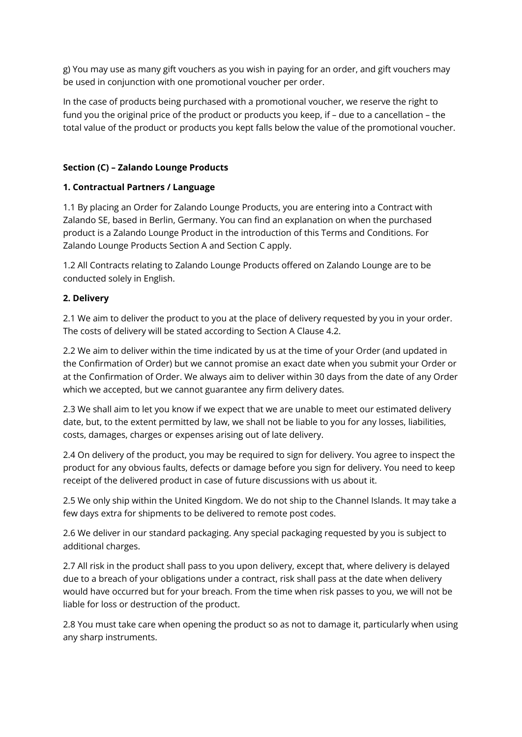g) You may use as many gift vouchers as you wish in paying for an order, and gift vouchers may be used in conjunction with one promotional voucher per order.

In the case of products being purchased with a promotional voucher, we reserve the right to fund you the original price of the product or products you keep, if – due to a cancellation – the total value of the product or products you kept falls below the value of the promotional voucher.

## **Section (C) – Zalando Lounge Products**

## **1. Contractual Partners / Language**

1.1 By placing an Order for Zalando Lounge Products, you are entering into a Contract with Zalando SE, based in Berlin, Germany. You can find an explanation on when the purchased product is a Zalando Lounge Product in the introduction of this Terms and Conditions. For Zalando Lounge Products Section A and Section C apply.

1.2 All Contracts relating to Zalando Lounge Products offered on Zalando Lounge are to be conducted solely in English.

## **2. Delivery**

2.1 We aim to deliver the product to you at the place of delivery requested by you in your order. The costs of delivery will be stated according to Section A Clause 4.2.

2.2 We aim to deliver within the time indicated by us at the time of your Order (and updated in the Confirmation of Order) but we cannot promise an exact date when you submit your Order or at the Confirmation of Order. We always aim to deliver within 30 days from the date of any Order which we accepted, but we cannot guarantee any firm delivery dates.

2.3 We shall aim to let you know if we expect that we are unable to meet our estimated delivery date, but, to the extent permitted by law, we shall not be liable to you for any losses, liabilities, costs, damages, charges or expenses arising out of late delivery.

2.4 On delivery of the product, you may be required to sign for delivery. You agree to inspect the product for any obvious faults, defects or damage before you sign for delivery. You need to keep receipt of the delivered product in case of future discussions with us about it.

2.5 We only ship within the United Kingdom. We do not ship to the Channel Islands. It may take a few days extra for shipments to be delivered to remote post codes.

2.6 We deliver in our standard packaging. Any special packaging requested by you is subject to additional charges.

2.7 All risk in the product shall pass to you upon delivery, except that, where delivery is delayed due to a breach of your obligations under a contract, risk shall pass at the date when delivery would have occurred but for your breach. From the time when risk passes to you, we will not be liable for loss or destruction of the product.

2.8 You must take care when opening the product so as not to damage it, particularly when using any sharp instruments.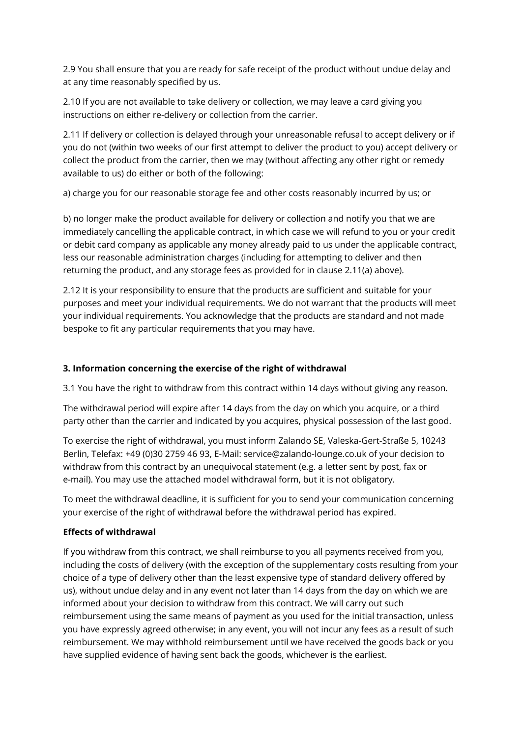2.9 You shall ensure that you are ready for safe receipt of the product without undue delay and at any time reasonably specified by us.

2.10 If you are not available to take delivery or collection, we may leave a card giving you instructions on either re-delivery or collection from the carrier.

2.11 If delivery or collection is delayed through your unreasonable refusal to accept delivery or if you do not (within two weeks of our first attempt to deliver the product to you) accept delivery or collect the product from the carrier, then we may (without affecting any other right or remedy available to us) do either or both of the following:

a) charge you for our reasonable storage fee and other costs reasonably incurred by us; or

b) no longer make the product available for delivery or collection and notify you that we are immediately cancelling the applicable contract, in which case we will refund to you or your credit or debit card company as applicable any money already paid to us under the applicable contract, less our reasonable administration charges (including for attempting to deliver and then returning the product, and any storage fees as provided for in clause 2.11(a) above).

2.12 It is your responsibility to ensure that the products are sufficient and suitable for your purposes and meet your individual requirements. We do not warrant that the products will meet your individual requirements. You acknowledge that the products are standard and not made bespoke to fit any particular requirements that you may have.

## **3. Information concerning the exercise of the right of withdrawal**

3.1 You have the right to withdraw from this contract within 14 days without giving any reason.

The withdrawal period will expire after 14 days from the day on which you acquire, or a third party other than the carrier and indicated by you acquires, physical possession of the last good.

To exercise the right of withdrawal, you must inform Zalando SE, Valeska-Gert-Straße 5, 10243 Berlin, Telefax: +49 (0)30 2759 46 93, E-Mail: service@zalando-lounge.co.uk of your decision to withdraw from this contract by an unequivocal statement (e.g. a letter sent by post, fax or e-mail). You may use the attached model withdrawal form, but it is not obligatory.

To meet the withdrawal deadline, it is sufficient for you to send your communication concerning your exercise of the right of withdrawal before the withdrawal period has expired.

### **Effects of withdrawal**

If you withdraw from this contract, we shall reimburse to you all payments received from you, including the costs of delivery (with the exception of the supplementary costs resulting from your choice of a type of delivery other than the least expensive type of standard delivery offered by us), without undue delay and in any event not later than 14 days from the day on which we are informed about your decision to withdraw from this contract. We will carry out such reimbursement using the same means of payment as you used for the initial transaction, unless you have expressly agreed otherwise; in any event, you will not incur any fees as a result of such reimbursement. We may withhold reimbursement until we have received the goods back or you have supplied evidence of having sent back the goods, whichever is the earliest.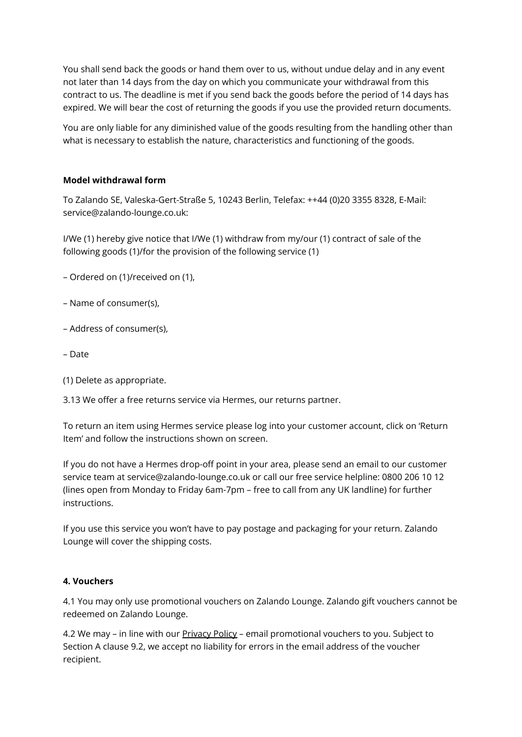You shall send back the goods or hand them over to us, without undue delay and in any event not later than 14 days from the day on which you communicate your withdrawal from this contract to us. The deadline is met if you send back the goods before the period of 14 days has expired. We will bear the cost of returning the goods if you use the provided return documents.

You are only liable for any diminished value of the goods resulting from the handling other than what is necessary to establish the nature, characteristics and functioning of the goods.

### **Model withdrawal form**

To Zalando SE, Valeska-Gert-Straße 5, 10243 Berlin, Telefax: ++44 (0)20 3355 8328, E-Mail: service@zalando-lounge.co.uk:

I/We (1) hereby give notice that I/We (1) withdraw from my/our (1) contract of sale of the following goods (1)/for the provision of the following service (1)

- Ordered on (1)/received on (1),
- Name of consumer(s),
- Address of consumer(s),
- Date
- (1) Delete as appropriate.
- 3.13 We offer a free returns service via Hermes, our returns partner.

To return an item using Hermes service please log into your customer account, click on 'Return Item' and follow the instructions shown on screen.

If you do not have a Hermes drop-off point in your area, please send an email to our customer service team at service@zalando-lounge.co.uk or call our free service helpline: 0800 206 10 12 (lines open from Monday to Friday 6am-7pm – free to call from any UK landline) for further instructions.

If you use this service you won't have to pay postage and packaging for your return. Zalando Lounge will cover the shipping costs.

### **4. Vouchers**

4.1 You may only use promotional vouchers on Zalando Lounge. Zalando gift vouchers cannot be redeemed on Zalando Lounge.

4.2 We may – in line with our [Privacy](https://www.zalando.co.uk/zalando-privacy-policy/) Policy – email promotional vouchers to you. Subject to Section A clause 9.2, we accept no liability for errors in the email address of the voucher recipient.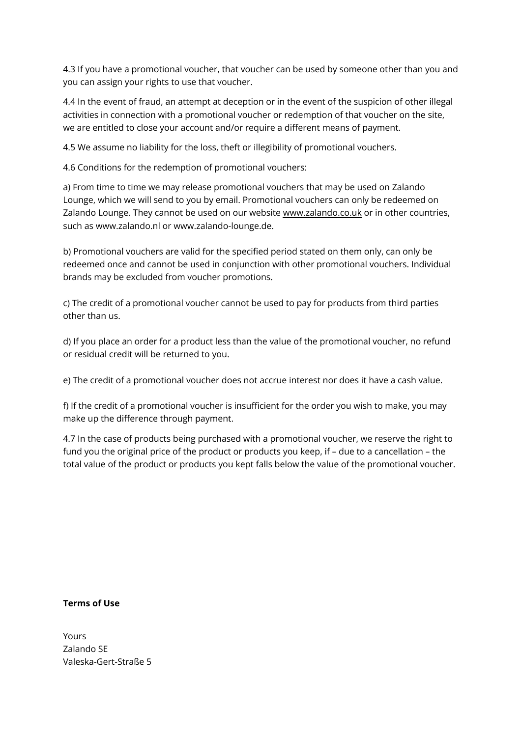4.3 If you have a promotional voucher, that voucher can be used by someone other than you and you can assign your rights to use that voucher.

4.4 In the event of fraud, an attempt at deception or in the event of the suspicion of other illegal activities in connection with a promotional voucher or redemption of that voucher on the site, we are entitled to close your account and/or require a different means of payment.

4.5 We assume no liability for the loss, theft or illegibility of promotional vouchers.

4.6 Conditions for the redemption of promotional vouchers:

a) From time to time we may release promotional vouchers that may be used on Zalando Lounge, which we will send to you by email. Promotional vouchers can only be redeemed on Zalando Lounge. They cannot be used on our website [www.zalando.co.uk](https://www.zalando.co.uk/) or in other countries, such as www.zalando.nl or www.zalando-lounge.de.

b) Promotional vouchers are valid for the specified period stated on them only, can only be redeemed once and cannot be used in conjunction with other promotional vouchers. Individual brands may be excluded from voucher promotions.

c) The credit of a promotional voucher cannot be used to pay for products from third parties other than us.

d) If you place an order for a product less than the value of the promotional voucher, no refund or residual credit will be returned to you.

e) The credit of a promotional voucher does not accrue interest nor does it have a cash value.

f) If the credit of a promotional voucher is insufficient for the order you wish to make, you may make up the difference through payment.

4.7 In the case of products being purchased with a promotional voucher, we reserve the right to fund you the original price of the product or products you keep, if – due to a cancellation – the total value of the product or products you kept falls below the value of the promotional voucher.

### **Terms of Use**

Yours Zalando SE Valeska-Gert-Straße 5